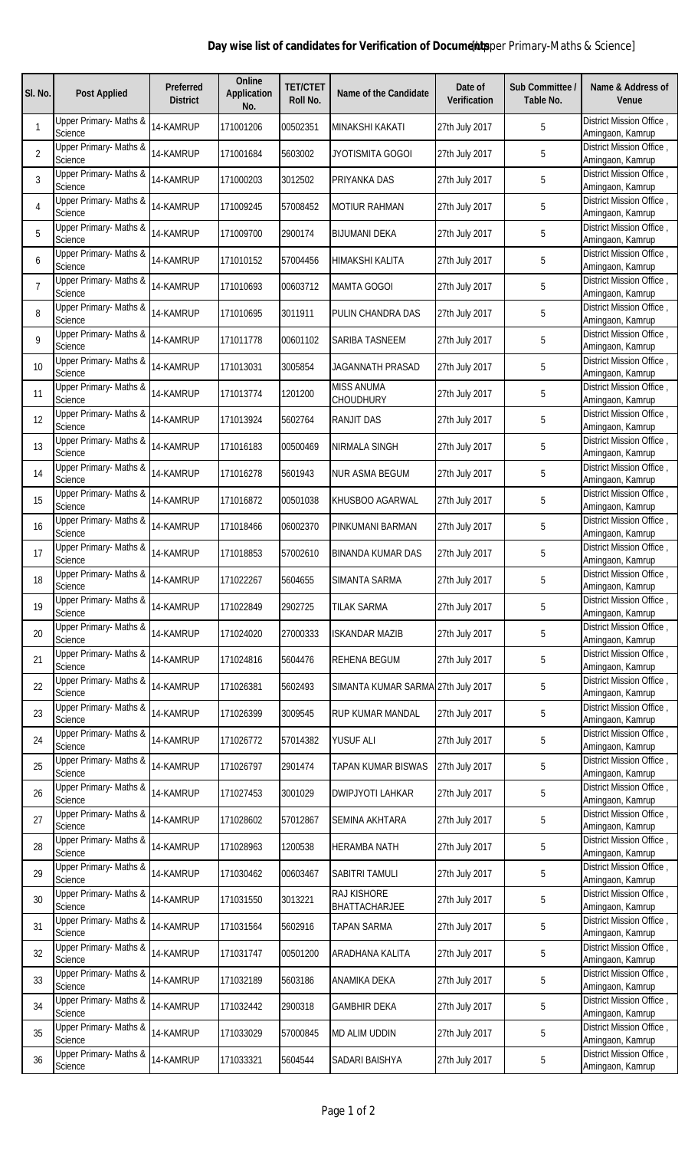## **Day wise list of candidates for Verification of Document upper Primary-Maths & Science]**

| SI. No.        | <b>Post Applied</b>               | <b>Preferred</b><br><b>District</b> | Online<br><b>Application</b><br>No. | <b>TET/CTET</b><br>Roll No. | Name of the Candidate              | Date of<br><b>Verification</b> | Sub Committee /<br>Table No. | Name & Address of<br><b>Venue</b>            |
|----------------|-----------------------------------|-------------------------------------|-------------------------------------|-----------------------------|------------------------------------|--------------------------------|------------------------------|----------------------------------------------|
| 1              | Upper Primary- Maths &<br>Science | 14-KAMRUP                           | 171001206                           | 00502351                    | <b>MINAKSHI KAKATI</b>             | 27th July 2017                 | 5                            | District Mission Office,<br>Amingaon, Kamrup |
| 2              | Upper Primary- Maths &<br>Science | 14-KAMRUP                           | 171001684                           | 5603002                     | JYOTISMITA GOGOI                   | 27th July 2017                 | 5                            | District Mission Office,<br>Amingaon, Kamrup |
| 3              | Upper Primary- Maths &<br>Science | 14-KAMRUP                           | 171000203                           | 3012502                     | PRIYANKA DAS                       | 27th July 2017                 | 5                            | District Mission Office,<br>Amingaon, Kamrup |
| 4              | Upper Primary- Maths &<br>Science | 14-KAMRUP                           | 171009245                           | 57008452                    | <b>MOTIUR RAHMAN</b>               | 27th July 2017                 | 5                            | District Mission Office,<br>Amingaon, Kamrup |
| 5              | Upper Primary- Maths &<br>Science | 14-KAMRUP                           | 171009700                           | 2900174                     | <b>BIJUMANI DEKA</b>               | 27th July 2017                 | 5                            | District Mission Office,<br>Amingaon, Kamrup |
| 6              | Upper Primary- Maths &<br>Science | 14-KAMRUP                           | 171010152                           | 57004456                    | HIMAKSHI KALITA                    | 27th July 2017                 | 5                            | District Mission Office,<br>Amingaon, Kamrup |
| $\overline{7}$ | Upper Primary- Maths &<br>Science | 14-KAMRUP                           | 171010693                           | 00603712                    | <b>MAMTA GOGOI</b>                 | 27th July 2017                 | 5                            | District Mission Office,<br>Amingaon, Kamrup |
| 8              | Upper Primary- Maths &<br>Science | 14-KAMRUP                           | 171010695                           | 3011911                     | PULIN CHANDRA DAS                  | 27th July 2017                 | 5                            | District Mission Office,<br>Amingaon, Kamrup |
| 9              | Upper Primary- Maths &<br>Science | 14-KAMRUP                           | 171011778                           | 00601102                    | SARIBA TASNEEM                     | 27th July 2017                 | 5                            | District Mission Office,<br>Amingaon, Kamrup |
| 10             | Upper Primary- Maths &<br>Science | 14-KAMRUP                           | 171013031                           | 3005854                     | JAGANNATH PRASAD                   | 27th July 2017                 | 5                            | District Mission Office,<br>Amingaon, Kamrup |
| 11             | Upper Primary- Maths &<br>Science | 14-KAMRUP                           | 171013774                           | 1201200                     | <b>MISS ANUMA</b><br>CHOUDHURY     | 27th July 2017                 | 5                            | District Mission Office,<br>Amingaon, Kamrup |
| 12             | Upper Primary- Maths &<br>Science | 14-KAMRUP                           | 171013924                           | 5602764                     | <b>RANJIT DAS</b>                  | 27th July 2017                 | 5                            | District Mission Office,<br>Amingaon, Kamrup |
| 13             | Upper Primary- Maths &<br>Science | 14-KAMRUP                           | 171016183                           | 00500469                    | NIRMALA SINGH                      | 27th July 2017                 | 5                            | District Mission Office,<br>Amingaon, Kamrup |
| 14             | Upper Primary- Maths &<br>Science | 14-KAMRUP                           | 171016278                           | 5601943                     | NUR ASMA BEGUM                     | 27th July 2017                 | 5                            | District Mission Office,<br>Amingaon, Kamrup |
| 15             | Upper Primary- Maths &<br>Science | 14-KAMRUP                           | 171016872                           | 00501038                    | KHUSBOO AGARWAL                    | 27th July 2017                 | 5                            | District Mission Office,<br>Amingaon, Kamrup |
| 16             | Upper Primary- Maths &<br>Science | 14-KAMRUP                           | 171018466                           | 06002370                    | PINKUMANI BARMAN                   | 27th July 2017                 | 5                            | District Mission Office,<br>Amingaon, Kamrup |
| 17             | Upper Primary- Maths &<br>Science | 14-KAMRUP                           | 171018853                           | 57002610                    | BINANDA KUMAR DAS                  | 27th July 2017                 | 5                            | District Mission Office,<br>Amingaon, Kamrup |
| 18             | Upper Primary- Maths &<br>Science | 14-KAMRUP                           | 171022267                           | 5604655                     | SIMANTA SARMA                      | 27th July 2017                 | 5                            | District Mission Office,<br>Amingaon, Kamrup |
| 19             | Upper Primary- Maths &<br>Science | 14-KAMRUP                           | 171022849                           | 2902725                     | <b>TILAK SARMA</b>                 | 27th July 2017                 | 5                            | District Mission Office,<br>Amingaon, Kamrup |
| 20             | Upper Primary- Maths &<br>Science | 14-KAMRUP                           | 171024020                           | 27000333                    | <b>ISKANDAR MAZIB</b>              | 27th July 2017                 | 5                            | District Mission Office,<br>Amingaon, Kamrup |
| 21             | Upper Primary- Maths &<br>Science | 14-KAMRUP                           | 171024816                           | 5604476                     | REHENA BEGUM                       | 27th July 2017                 | 5                            | District Mission Office,<br>Amingaon, Kamrup |
| 22             | Upper Primary- Maths &<br>Science | 14-KAMRUP                           | 171026381                           | 5602493                     | SIMANTA KUMAR SARMA 27th July 2017 |                                | 5                            | District Mission Office,<br>Amingaon, Kamrup |
| 23             | Upper Primary- Maths &<br>Science | 14-KAMRUP                           | 171026399                           | 3009545                     | RUP KUMAR MANDAL                   | 27th July 2017                 | 5                            | District Mission Office,<br>Amingaon, Kamrup |
| 24             | Upper Primary- Maths &<br>Science | 14-KAMRUP                           | 171026772                           | 57014382                    | YUSUF ALI                          | 27th July 2017                 | 5                            | District Mission Office,<br>Amingaon, Kamrup |
| 25             | Upper Primary- Maths &<br>Science | 14-KAMRUP                           | 171026797                           | 2901474                     | <b>TAPAN KUMAR BISWAS</b>          | 27th July 2017                 | 5                            | District Mission Office,<br>Amingaon, Kamrup |
| 26             | Upper Primary- Maths &<br>Science | 14-KAMRUP                           | 171027453                           | 3001029                     | <b>DWIPJYOTI LAHKAR</b>            | 27th July 2017                 | 5                            | District Mission Office,<br>Amingaon, Kamrup |
| 27             | Upper Primary- Maths &<br>Science | 14-KAMRUP                           | 171028602                           | 57012867                    | SEMINA AKHTARA                     | 27th July 2017                 | 5                            | District Mission Office,<br>Amingaon, Kamrup |
| 28             | Upper Primary- Maths &<br>Science | 14-KAMRUP                           | 171028963                           | 1200538                     | <b>HERAMBA NATH</b>                | 27th July 2017                 | 5                            | District Mission Office,<br>Amingaon, Kamrup |
| 29             | Upper Primary- Maths &<br>Science | 14-KAMRUP                           | 171030462                           | 00603467                    | SABITRI TAMULI                     | 27th July 2017                 | 5                            | District Mission Office,<br>Amingaon, Kamrup |
| 30             | Upper Primary- Maths &<br>Science | 14-KAMRUP                           | 171031550                           | 3013221                     | RAJ KISHORE<br>BHATTACHARJEE       | 27th July 2017                 | 5                            | District Mission Office,<br>Amingaon, Kamrup |
| 31             | Upper Primary- Maths &<br>Science | 14-KAMRUP                           | 171031564                           | 5602916                     | <b>TAPAN SARMA</b>                 | 27th July 2017                 | 5                            | District Mission Office,<br>Amingaon, Kamrup |
| 32             | Upper Primary- Maths &<br>Science | 14-KAMRUP                           | 171031747                           | 00501200                    | ARADHANA KALITA                    | 27th July 2017                 | 5                            | District Mission Office,<br>Amingaon, Kamrup |
| 33             | Upper Primary- Maths &<br>Science | 14-KAMRUP                           | 171032189                           | 5603186                     | ANAMIKA DEKA                       | 27th July 2017                 | 5                            | District Mission Office,<br>Amingaon, Kamrup |
| 34             | Upper Primary- Maths &<br>Science | 14-KAMRUP                           | 171032442                           | 2900318                     | <b>GAMBHIR DEKA</b>                | 27th July 2017                 | 5                            | District Mission Office,<br>Amingaon, Kamrup |
| 35             | Upper Primary- Maths &<br>Science | 14-KAMRUP                           | 171033029                           | 57000845                    | <b>MD ALIM UDDIN</b>               | 27th July 2017                 | 5                            | District Mission Office,<br>Amingaon, Kamrup |
| 36             | Upper Primary- Maths &<br>Science | 14-KAMRUP                           | 171033321                           | 5604544                     | SADARI BAISHYA                     | 27th July 2017                 | 5                            | District Mission Office,<br>Amingaon, Kamrup |